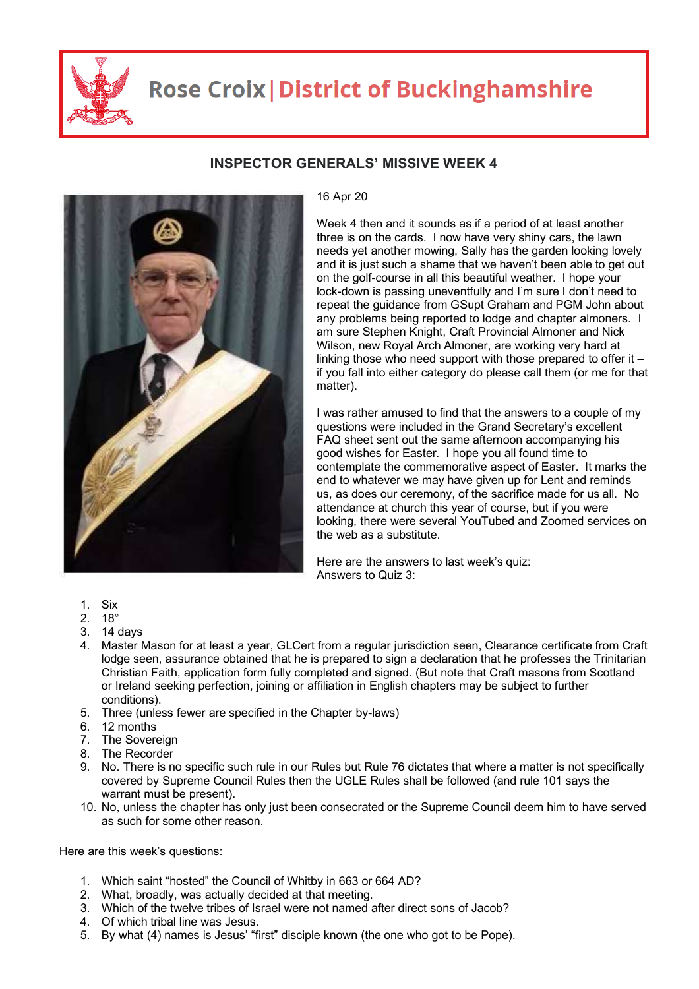

## **Rose Croix | District of Buckinghamshire**



## **INSPECTOR GENERALS' MISSIVE WEEK 4**

## 16 Apr 20

Week 4 then and it sounds as if a period of at least another three is on the cards. I now have very shiny cars, the lawn needs yet another mowing, Sally has the garden looking lovely and it is just such a shame that we haven't been able to get out on the golf-course in all this beautiful weather. I hope your lock-down is passing uneventfully and I'm sure I don't need to repeat the guidance from GSupt Graham and PGM John about any problems being reported to lodge and chapter almoners. I am sure Stephen Knight, Craft Provincial Almoner and Nick Wilson, new Royal Arch Almoner, are working very hard at linking those who need support with those prepared to offer it – if you fall into either category do please call them (or me for that matter).

I was rather amused to find that the answers to a couple of my questions were included in the Grand Secretary's excellent FAQ sheet sent out the same afternoon accompanying his good wishes for Easter. I hope you all found time to contemplate the commemorative aspect of Easter. It marks the end to whatever we may have given up for Lent and reminds us, as does our ceremony, of the sacrifice made for us all. No attendance at church this year of course, but if you were looking, there were several YouTubed and Zoomed services on the web as a substitute.

Here are the answers to last week's quiz: Answers to Quiz 3:

- 1. Six
- 2. 18°
- 3. 14 days
- 4. Master Mason for at least a year, GLCert from a regular jurisdiction seen, Clearance certificate from Craft lodge seen, assurance obtained that he is prepared to sign a declaration that he professes the Trinitarian Christian Faith, application form fully completed and signed. (But note that Craft masons from Scotland or Ireland seeking perfection, joining or affiliation in English chapters may be subject to further conditions).
- 5. Three (unless fewer are specified in the Chapter by-laws)
- 6. 12 months
- 7. The Sovereign
- 8. The Recorder
- 9. No. There is no specific such rule in our Rules but Rule 76 dictates that where a matter is not specifically covered by Supreme Council Rules then the UGLE Rules shall be followed (and rule 101 says the warrant must be present).
- 10. No, unless the chapter has only just been consecrated or the Supreme Council deem him to have served as such for some other reason.

Here are this week's questions:

- 1. Which saint "hosted" the Council of Whitby in 663 or 664 AD?
- 2. What, broadly, was actually decided at that meeting.
- 3. Which of the twelve tribes of Israel were not named after direct sons of Jacob?
- 4. Of which tribal line was Jesus.
- 5. By what (4) names is Jesus' "first" disciple known (the one who got to be Pope).